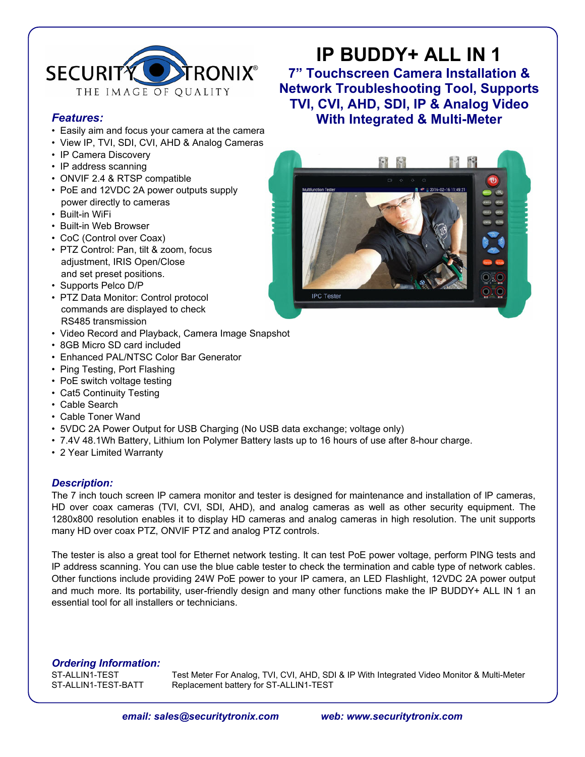

### *Features:*

- Easily aim and focus your camera at the camera
- View IP, TVI, SDI, CVI, AHD & Analog Cameras
- IP Camera Discovery
- IP address scanning
- ONVIF 2.4 & RTSP compatible
- PoE and 12VDC 2A power outputs supply power directly to cameras
- Built-in WiFi
- Built-in Web Browser
- CoC (Control over Coax)
- PTZ Control: Pan, tilt & zoom, focus adjustment, IRIS Open/Close and set preset positions.
- Supports Pelco D/P
- PTZ Data Monitor: Control protocol commands are displayed to check RS485 transmission
- Video Record and Playback, Camera Image Snapshot
- 8GB Micro SD card included
- Enhanced PAL/NTSC Color Bar Generator
- Ping Testing, Port Flashing
- PoE switch voltage testing
- Cat5 Continuity Testing
- Cable Search
- Cable Toner Wand
- 5VDC 2A Power Output for USB Charging (No USB data exchange; voltage only)
- 7.4V 48.1Wh Battery, Lithium Ion Polymer Battery lasts up to 16 hours of use after 8-hour charge.
- 2 Year Limited Warranty

#### *Description:*

The 7 inch touch screen IP camera monitor and tester is designed for maintenance and installation of IP cameras, HD over coax cameras (TVI, CVI, SDI, AHD), and analog cameras as well as other security equipment. The 1280x800 resolution enables it to display HD cameras and analog cameras in high resolution. The unit supports many HD over coax PTZ, ONVIF PTZ and analog PTZ controls.

The tester is also a great tool for Ethernet network testing. It can test PoE power voltage, perform PING tests and IP address scanning. You can use the blue cable tester to check the termination and cable type of network cables. Other functions include providing 24W PoE power to your IP camera, an LED Flashlight, 12VDC 2A power output and much more. Its portability, user-friendly design and many other functions make the IP BUDDY+ ALL IN 1 an essential tool for all installers or technicians.

*Ordering Information:*

ST-ALLIN1-TEST Test Meter For Analog, TVI, CVI, AHD, SDI & IP With Integrated Video Monitor & Multi-Meter<br>ST-ALLIN1-TEST-BATT Replacement battery for ST-ALLIN1-TEST Replacement battery for ST-ALLIN1-TEST

## **IP BUDDY+ ALL IN 1 7" Touchscreen Camera Installation &**

**Network Troubleshooting Tool, Supports TVI, CVI, AHD, SDI, IP & Analog Video With Integrated & Multi-Meter**

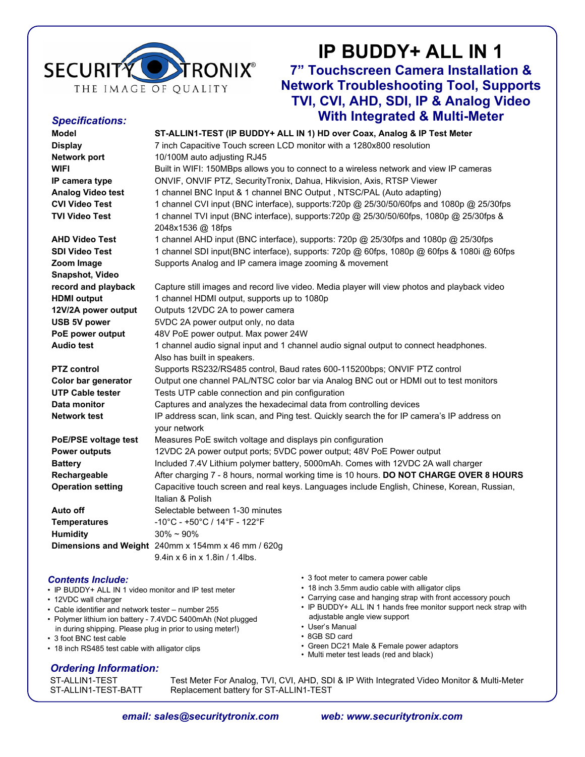

*Specifications:*

# **IP BUDDY+ ALL IN 1**

## **7" Touchscreen Camera Installation & Network Troubleshooting Tool, Supports TVI, CVI, AHD, SDI, IP & Analog Video With Integrated & Multi-Meter**

| <b>Model</b>             | ST-ALLIN1-TEST (IP BUDDY+ ALL IN 1) HD over Coax, Analog & IP Test Meter                     |
|--------------------------|----------------------------------------------------------------------------------------------|
| <b>Display</b>           | 7 inch Capacitive Touch screen LCD monitor with a 1280x800 resolution                        |
| Network port             | 10/100M auto adjusting RJ45                                                                  |
| <b>WIFI</b>              | Built in WIFI: 150MBps allows you to connect to a wireless network and view IP cameras       |
| IP camera type           | ONVIF, ONVIF PTZ, SecurityTronix, Dahua, Hikvision, Axis, RTSP Viewer                        |
| <b>Analog Video test</b> | 1 channel BNC Input & 1 channel BNC Output, NTSC/PAL (Auto adapting)                         |
| <b>CVI Video Test</b>    | 1 channel CVI input (BNC interface), supports:720p @ 25/30/50/60fps and 1080p @ 25/30fps     |
| <b>TVI Video Test</b>    | 1 channel TVI input (BNC interface), supports:720p @ 25/30/50/60fps, 1080p @ 25/30fps &      |
|                          | 2048x1536 @ 18fps                                                                            |
| <b>AHD Video Test</b>    | 1 channel AHD input (BNC interface), supports: 720p @ 25/30fps and 1080p @ 25/30fps          |
| <b>SDI Video Test</b>    | 1 channel SDI input(BNC interface), supports: 720p @ 60fps, 1080p @ 60fps & 1080i @ 60fps    |
| Zoom Image               | Supports Analog and IP camera image zooming & movement                                       |
| Snapshot, Video          |                                                                                              |
| record and playback      | Capture still images and record live video. Media player will view photos and playback video |
| <b>HDMI</b> output       | 1 channel HDMI output, supports up to 1080p                                                  |
| 12V/2A power output      | Outputs 12VDC 2A to power camera                                                             |
| USB 5V power             | 5VDC 2A power output only, no data                                                           |
| PoE power output         | 48V PoE power output. Max power 24W                                                          |
| <b>Audio test</b>        | 1 channel audio signal input and 1 channel audio signal output to connect headphones.        |
|                          | Also has built in speakers.                                                                  |
| <b>PTZ</b> control       | Supports RS232/RS485 control, Baud rates 600-115200bps; ONVIF PTZ control                    |
| Color bar generator      | Output one channel PAL/NTSC color bar via Analog BNC out or HDMI out to test monitors        |
| <b>UTP Cable tester</b>  | Tests UTP cable connection and pin configuration                                             |
| Data monitor             | Captures and analyzes the hexadecimal data from controlling devices                          |
| <b>Network test</b>      | IP address scan, link scan, and Ping test. Quickly search the for IP camera's IP address on  |
|                          | your network                                                                                 |
| PoE/PSE voltage test     | Measures PoE switch voltage and displays pin configuration                                   |
| <b>Power outputs</b>     | 12VDC 2A power output ports; 5VDC power output; 48V PoE Power output                         |
| <b>Battery</b>           | Included 7.4V Lithium polymer battery, 5000mAh. Comes with 12VDC 2A wall charger             |
| Rechargeable             | After charging 7 - 8 hours, normal working time is 10 hours. DO NOT CHARGE OVER 8 HOURS      |
| <b>Operation setting</b> | Capacitive touch screen and real keys. Languages include English, Chinese, Korean, Russian,  |
|                          | Italian & Polish                                                                             |
| Auto off                 | Selectable between 1-30 minutes                                                              |
| <b>Temperatures</b>      | -10°C - +50°C / 14°F - 122°F                                                                 |
| <b>Humidity</b>          | $30\% \sim 90\%$                                                                             |
|                          | Dimensions and Weight 240mm x 154mm x 46 mm / 620g                                           |
|                          | 9.4in x 6 in x 1.8in / 1.4lbs.                                                               |
|                          |                                                                                              |
|                          |                                                                                              |

#### *Contents Include:*

- IP BUDDY+ ALL IN 1 video monitor and IP test meter
- 12VDC wall charger
- Cable identifier and network tester number 255
- Polymer lithium ion battery 7.4VDC 5400mAh (Not plugged in during shipping. Please plug in prior to using meter!)
- 3 foot BNC test cable
- 18 inch RS485 test cable with alligator clips

#### • 3 foot meter to camera power cable

- 18 inch 3.5mm audio cable with alligator clips
- Carrying case and hanging strap with front accessory pouch
- IP BUDDY+ ALL IN 1 hands free monitor support neck strap with adjustable angle view support
- User's Manual
- 8GB SD card
- Green DC21 Male & Female power adaptors
- Multi meter test leads (red and black)

#### *Ordering Information:*

ST-ALLIN1-TEST Test Meter For Analog, TVI, CVI, AHD, SDI & IP With Integrated Video Monitor & Multi-Meter<br>ST-ALLIN1-TEST-BATT Replacement battery for ST-ALLIN1-TEST Replacement battery for ST-ALLIN1-TEST